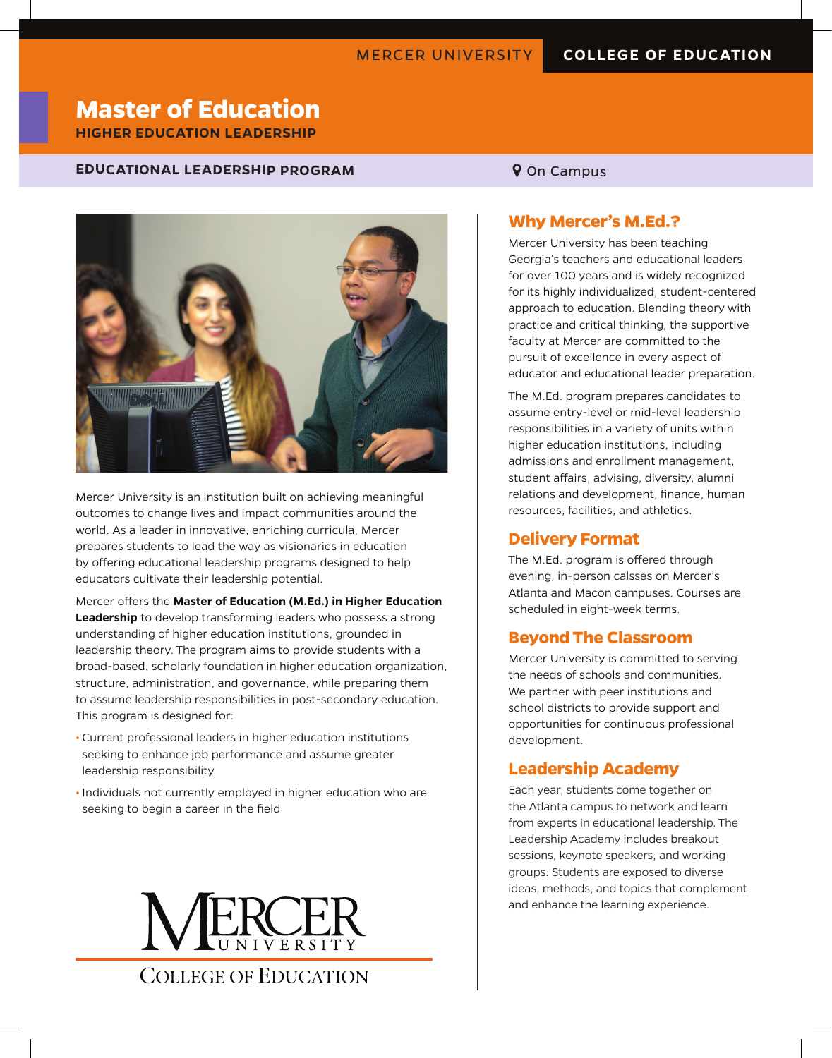# **Master of Education**

**HIGHER EDUCATION LEADERSHIP**

#### **EDUCATIONAL LEADERSHIP PROGRAM 9 On Campus**



Mercer University is an institution built on achieving meaningful outcomes to change lives and impact communities around the world. As a leader in innovative, enriching curricula, Mercer prepares students to lead the way as visionaries in education by offering educational leadership programs designed to help educators cultivate their leadership potential.

Mercer offers the **Master of Education (M.Ed.) in Higher Education Leadership** to develop transforming leaders who possess a strong understanding of higher education institutions, grounded in leadership theory. The program aims to provide students with a broad-based, scholarly foundation in higher education organization, structure, administration, and governance, while preparing them to assume leadership responsibilities in post-secondary education. This program is designed for:

- **•** Current professional leaders in higher education institutions seeking to enhance job performance and assume greater leadership responsibility
- **•** Individuals not currently employed in higher education who are seeking to begin a career in the field

**COLLEGE OF EDUCATION** 

### **Why Mercer's M.Ed.?**

Mercer University has been teaching Georgia's teachers and educational leaders for over 100 years and is widely recognized for its highly individualized, student-centered approach to education. Blending theory with practice and critical thinking, the supportive faculty at Mercer are committed to the pursuit of excellence in every aspect of educator and educational leader preparation.

The M.Ed. program prepares candidates to assume entry-level or mid-level leadership responsibilities in a variety of units within higher education institutions, including admissions and enrollment management, student affairs, advising, diversity, alumni relations and development, finance, human resources, facilities, and athletics.

#### **Delivery Format**

The M.Ed. program is offered through evening, in-person calsses on Mercer's Atlanta and Macon campuses. Courses are scheduled in eight-week terms.

#### **Beyond The Classroom**

Mercer University is committed to serving the needs of schools and communities. We partner with peer institutions and school districts to provide support and opportunities for continuous professional development.

#### **Leadership Academy**

Each year, students come together on the Atlanta campus to network and learn from experts in educational leadership. The Leadership Academy includes breakout sessions, keynote speakers, and working groups. Students are exposed to diverse ideas, methods, and topics that complement and enhance the learning experience.